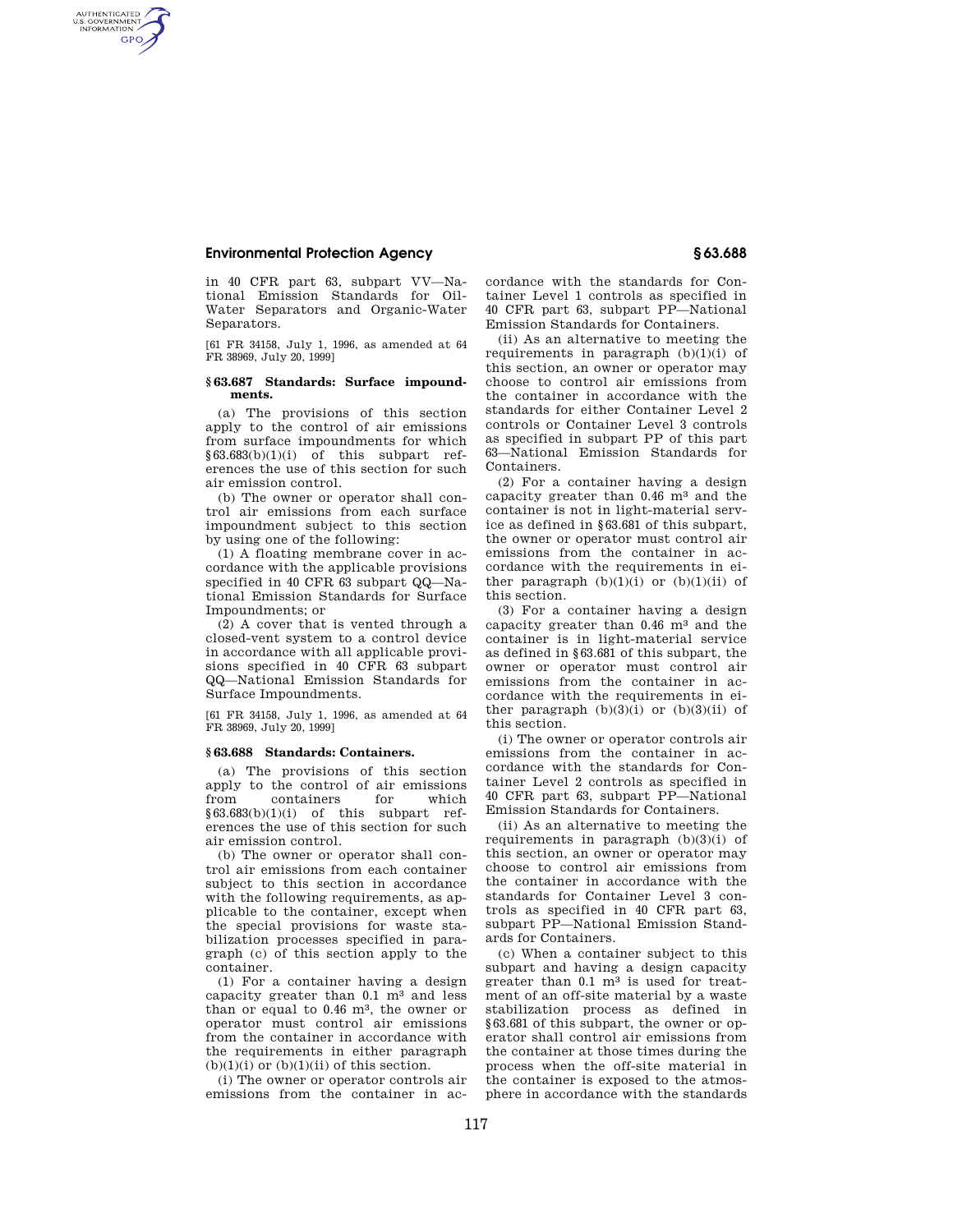## **Environmental Protection Agency § 63.688**

AUTHENTICATED<br>U.S. GOVERNMENT<br>INFORMATION **GPO** 

> in 40 CFR part 63, subpart VV—National Emission Standards for Oil-Water Separators and Organic-Water Separators.

> [61 FR 34158, July 1, 1996, as amended at 64 FR 38969, July 20, 1999]

## **§ 63.687 Standards: Surface impoundments.**

(a) The provisions of this section apply to the control of air emissions from surface impoundments for which §63.683(b)(1)(i) of this subpart references the use of this section for such air emission control.

(b) The owner or operator shall control air emissions from each surface impoundment subject to this section by using one of the following:

(1) A floating membrane cover in accordance with the applicable provisions specified in 40 CFR 63 subpart QQ—National Emission Standards for Surface Impoundments; or

(2) A cover that is vented through a closed-vent system to a control device in accordance with all applicable provisions specified in 40 CFR 63 subpart QQ—National Emission Standards for Surface Impoundments.

[61 FR 34158, July 1, 1996, as amended at 64 FR 38969, July 20, 1999]

## **§ 63.688 Standards: Containers.**

(a) The provisions of this section apply to the control of air emissions from containers for which  $§63.683(b)(1)(i)$  of this subpart references the use of this section for such air emission control.

(b) The owner or operator shall control air emissions from each container subject to this section in accordance with the following requirements, as applicable to the container, except when the special provisions for waste stabilization processes specified in paragraph (c) of this section apply to the container.

(1) For a container having a design capacity greater than 0.1 m3 and less than or equal to 0.46 m3, the owner or operator must control air emissions from the container in accordance with the requirements in either paragraph  $(b)(1)(i)$  or  $(b)(1)(ii)$  of this section.

(i) The owner or operator controls air emissions from the container in ac-

cordance with the standards for Container Level 1 controls as specified in 40 CFR part 63, subpart PP—National Emission Standards for Containers.

(ii) As an alternative to meeting the requirements in paragraph  $(b)(1)(i)$  of this section, an owner or operator may choose to control air emissions from the container in accordance with the standards for either Container Level 2 controls or Container Level 3 controls as specified in subpart PP of this part 63—National Emission Standards for Containers.

(2) For a container having a design capacity greater than 0.46 m3 and the container is not in light-material service as defined in §63.681 of this subpart, the owner or operator must control air emissions from the container in accordance with the requirements in either paragraph  $(b)(1)(i)$  or  $(b)(1)(ii)$  of this section.

(3) For a container having a design capacity greater than 0.46 m3 and the container is in light-material service as defined in §63.681 of this subpart, the owner or operator must control air emissions from the container in accordance with the requirements in either paragraph  $(b)(3)(i)$  or  $(b)(3)(ii)$  of this section.

(i) The owner or operator controls air emissions from the container in accordance with the standards for Container Level 2 controls as specified in 40 CFR part 63, subpart PP—National Emission Standards for Containers.

(ii) As an alternative to meeting the requirements in paragraph  $(b)(3)(i)$  of this section, an owner or operator may choose to control air emissions from the container in accordance with the standards for Container Level 3 controls as specified in 40 CFR part 63, subpart PP—National Emission Standards for Containers.

(c) When a container subject to this subpart and having a design capacity greater than  $0.1 \text{ m}^3$  is used for treatment of an off-site material by a waste stabilization process as defined in §63.681 of this subpart, the owner or operator shall control air emissions from the container at those times during the process when the off-site material in the container is exposed to the atmosphere in accordance with the standards